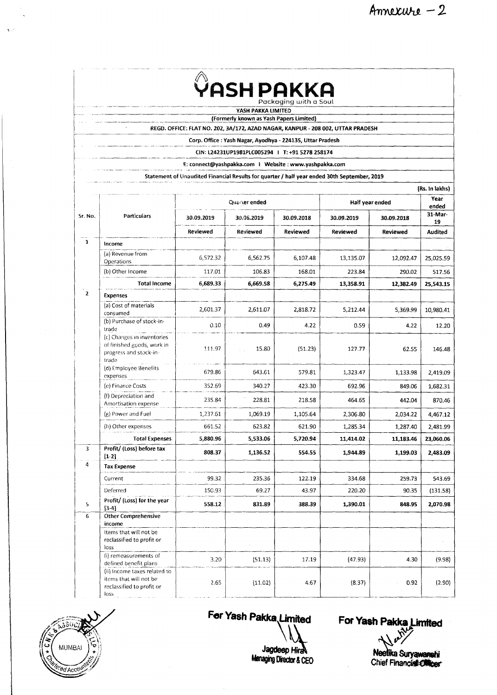|  | ISH PAKKA<br>Packaging with a Soul |
|--|------------------------------------|
|--|------------------------------------|

**YASH PAKKA LIMITED**

**(Form erly know n as Yash Papers Lim ited)**

**REGD. OFFICE: FLAT NO . 202, 3 A /1 7 2 , AZAD NAGAR, KANPUR - 208 002, UTTAR PRADESH**

Corp. Office : Yash Nagar, Ayodhya - 224135, Uttar Pradesh

**CIN: L24231UP1981PLC005294 1 T :+91 5278 258174**

**E: [connect@ yashpakka.com](mailto:connect@yashpakka.com) 1 W ebsite : [w w w .yashpakka.com](http://www.yashpakka.com)**

Statement of Unaudited Financial Results for quarter / half year ended 30th September, 2019

|              | (Rs. In lakhs)                                                                              |               |            |            |                 |                 |                |  |  |
|--------------|---------------------------------------------------------------------------------------------|---------------|------------|------------|-----------------|-----------------|----------------|--|--|
|              |                                                                                             | Quarter ended |            |            | Half year ended | Year<br>ended   |                |  |  |
| Sr. No.      | Particulars                                                                                 | 30.09.2019    | 30.06.2019 | 30.09.2018 | 30.09.2019      | 30.09.2018      | 31-Mar-<br>19  |  |  |
|              |                                                                                             | Reviewed      | Reviewed   | Reviewed   | <b>Reviewed</b> | <b>Reviewed</b> | <b>Audited</b> |  |  |
| $\mathbf{1}$ | Income                                                                                      |               |            |            |                 |                 |                |  |  |
|              | (a) Revenue from<br>Operations                                                              | 6,572.32      | 6,562.75   | 6,107.48   | 13,135.07       | 12,092.47       | 25,025.59      |  |  |
|              | (b) Other Income                                                                            | 117.01        | 106.83     | 168.01     | 223.84          | 290.02          | 517.56         |  |  |
|              | <b>Total Income</b>                                                                         | 6,689.33      | 6,669.58   | 6,275.49   | 13,358.91       | 12,382.49       | 25,543.15      |  |  |
| $\mathbf 2$  | Expenses                                                                                    |               |            |            |                 |                 |                |  |  |
|              | (a) Cost of materials<br>consumed                                                           | 2,601.37      | 2,611.07   | 2,818.72   | 5,212.44        | 5,369.99        | 10,980.41      |  |  |
|              | (b) Purchase of stock-in-<br>trade                                                          | 0.10          | 0.49       | 4.22       | 0.59            | 4.22            | 12.20          |  |  |
|              | (c) Changes in inventories<br>of finished goods, work in<br>progress and stock-in-<br>trade | 111.97        | 15.80      | (51.23)    | 127.77          | 62.55           | 146.48         |  |  |
|              | (d) Employee Benefits<br>expenses                                                           | 679.86        | 643.61     | 579.81     | 1,323.47        | 1,133.98        | 2,419.09       |  |  |
|              | (e) Finance Costs                                                                           | 352.69        | 340.27     | 423.30     | 692.96          | 849.06          | 1,682.31       |  |  |
|              | (f) Depreciation and<br>Amortisation expense                                                | 235.84        | 228.81     | 218.58     | 464.65          | 442.04          | 870.46         |  |  |
|              | (g) Power and Fuel                                                                          | 1,237.61      | 1,069.19   | 1,105.64   | 2,306.80        | 2,034.22        | 4,467.12       |  |  |
|              | (h) Other expenses                                                                          | 661.52        | 623.82     | 621.90     | 1,285.34        | 1,287.40        | 2,481.99       |  |  |
|              | <b>Total Expenses</b>                                                                       | 5,880.96      | 5,533.06   | 5,720.94   | 11,414.02       | 11,183.46       | 23,060.06      |  |  |
| 3            | Profit/ (Loss) before tax<br>$[1-2]$                                                        | 808.37        | 1,136.52   | 554.55     | 1,944.89        | 1,199.03        | 2,483.09       |  |  |
| 4            | <b>Tax Expense</b>                                                                          |               |            |            |                 |                 |                |  |  |
|              | Current                                                                                     | 99.32         | 235.36     | 122.19     | 334.68          | 259.73          | 543.69         |  |  |
|              | Deferred                                                                                    | 150.93        | 69.27      | 43.97      | 220.20          | 90.35           | (131.58)       |  |  |
| 5            | Profit/ (Loss) for the year<br>$[3-4]$                                                      | 558.12        | 831.89     | 388.39     | 1,390.01        | 848.95          | 2,070.98       |  |  |
| 6            | <b>Other Comprehensive</b>                                                                  |               |            |            |                 |                 |                |  |  |
|              | income<br>Items that will not be<br>reclassified to profit or<br>loss                       |               |            |            |                 |                 |                |  |  |
|              | (i) remeasurements of<br>defined benefit plans                                              | 3.20          | (51.13)    | 17.19      | (47.93)         | 4.30            | (9.98)         |  |  |
|              | (ii) Income taxes related to<br>items that will not be<br>reclassified to profit or<br>loss | 2.65          | (11.02)    | 4.67       | (8.37)          | 0.92            | (2.90)         |  |  |



**Jagdeep HiraN** 

For Yash Pakka Limited For Yash Pakka Limited

**leep Hirak is a suryawanghi ka Suryawanghi Chief Financial Childer**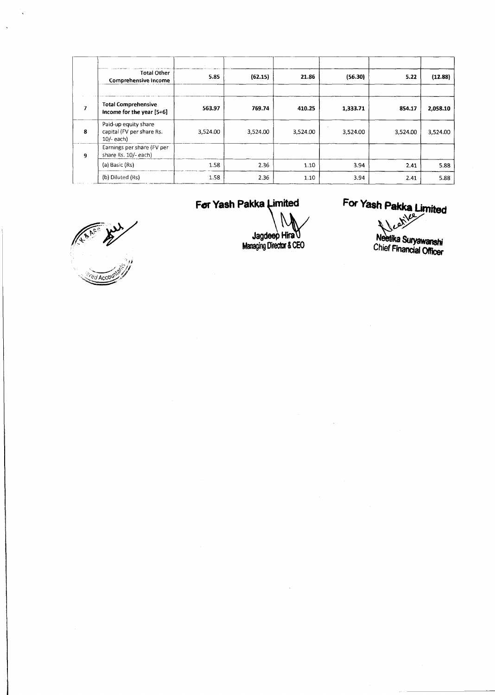|   | <b>Total Other</b><br>Comprehensive Income                        | 5.85     | (62.15)  | 21.86    | (56.30)  | 5.22     | (12.88)  |
|---|-------------------------------------------------------------------|----------|----------|----------|----------|----------|----------|
|   |                                                                   |          |          |          |          |          |          |
| 7 | <b>Total Comprehensive</b><br>Income for the year [5+6]           | 563.97   | 769.74   | 410.25   | 1,333.71 | 854.17   | 2,058.10 |
| 8 | Paid-up equity share<br>capital (FV per share Rs.<br>$10/-$ each) | 3,524.00 | 3,524.00 | 3,524.00 | 3,524.00 | 3,524.00 | 3,524.00 |
| 9 | Earnings per share (FV per<br>share Rs. 10/- each)                |          |          |          |          |          |          |
|   | (a) Basic (Rs)                                                    | 1.58     | 2.36     | 1.10     | 3.94     | 2.41     | 5.88     |
|   | (b) Diluted (Rs)                                                  | 1.58     | 2.36     | 1.10     | 3.94     | 2.41     | 5.88     |

### For Yash Pakka Limited

**Jagdeep Hirav) Managing Director & CEO**  **For Yash Pakka Limited Reserves** 

Z

<sup>neetika</sup> Suryawanshi<br>`hiof Finsuryawanshi Criter Financial Officer

ALARS AND ACCOUNT OF THE REAL PROPERTY

 $\overline{a}$ 

 $\ddot{\phantom{1}}$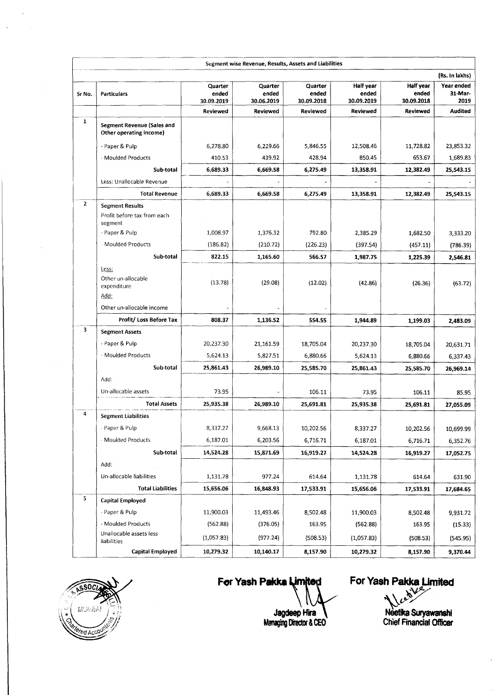|              |                                                                                 |                                | Segment wise Revenue, Results, Assets and Liabilities |                                |                                  |                                         |                               |
|--------------|---------------------------------------------------------------------------------|--------------------------------|-------------------------------------------------------|--------------------------------|----------------------------------|-----------------------------------------|-------------------------------|
|              |                                                                                 |                                |                                                       |                                |                                  |                                         | (Rs. In lakhs)                |
| Sr No.       | <b>Particulars</b>                                                              | Quarter<br>ended<br>30.09.2019 | Quarter<br>ended<br>30.06.2019                        | Quarter<br>ended<br>30.09.2018 | Half year<br>ended<br>30.09.2019 | <b>Half year</b><br>ended<br>30.09.2018 | Year ended<br>31-Mar-<br>2019 |
|              |                                                                                 | Reviewed                       | <b>Reviewed</b>                                       | <b>Reviewed</b>                | Reviewed                         | <b>Reviewed</b>                         | <b>Audited</b>                |
| $\mathbf{1}$ | <b>Segment Revenue (Sales and</b>                                               |                                |                                                       |                                |                                  |                                         |                               |
|              | Other operating income)                                                         |                                |                                                       |                                |                                  |                                         |                               |
|              | - Paper & Pulp                                                                  | 6,278.80                       | 6,229.66                                              | 5,846.55                       | 12,508.46                        | 11,728.82                               | 23,853.32                     |
|              | - Moulded Products                                                              | 410.53                         | 439.92                                                | 428.94                         | 850.45                           | 653.67                                  | 1,689.83                      |
|              | Sub-total                                                                       | 6,689.33                       | 6,669.58                                              | 6,275.49                       | 13,358.91                        | 12,382.49                               | 25,543.15                     |
|              | Less: Unallocable Revenue                                                       |                                |                                                       |                                |                                  |                                         |                               |
|              | <b>Total Revenue</b>                                                            | 6,689.33                       | 6,669.58                                              | 6,275.49                       | 13,358.91                        | 12,382.49                               | 25,543.15                     |
| $\mathbf{z}$ | <b>Segment Results</b><br>Profit before tax from each<br>segment                |                                |                                                       |                                |                                  |                                         |                               |
|              | - Paper & Pulp                                                                  | 1,008.97                       | 1,376.32                                              | 792.80                         | 2,385.29                         | 1,682.50                                | 3,333.20                      |
|              | <b>Moulded Products</b>                                                         | (186.82)                       | (210.72)                                              | (226.23)                       | (397.54)                         | (457.11)                                | (786.39)                      |
|              | Sub-total                                                                       | 822.15                         | 1,165.60                                              | 566.57                         | 1,987.75                         | 1,225.39                                | 2,546.81                      |
|              | Less:<br>Other un-allocable<br>expenditure<br>Add:<br>Other un-allocable income | (13.78)                        | (29.08)                                               | (12.02)                        | (42.86)                          | (26.36)                                 | (63.72)                       |
|              | Profit/ Loss Before Tax                                                         | 808.37                         | 1,136.52                                              | 554.55                         | 1,944.89                         | 1,199.03                                | 2,483.09                      |
| 3            | <b>Segment Assets</b>                                                           |                                |                                                       |                                |                                  |                                         |                               |
|              | - Paper & Pulp                                                                  | 20,237.30                      | 21,161.59                                             | 18,705.04                      | 20,237.30                        | 18,705.04                               | 20,631.71                     |
|              | - Moulded Products                                                              | 5,624.13                       | 5,827.51                                              | 6,880.66                       | 5,624.13                         | 6,880.66                                | 6,337.43                      |
|              | Sub-total                                                                       | 25,861.43                      | 26,989.10                                             | 25,585.70                      | 25,861.43                        | 25,585.70                               | 26,969.14                     |
|              | Add:                                                                            |                                |                                                       |                                |                                  |                                         |                               |
|              | Un-allocable assets                                                             | 73.95                          |                                                       | 106.11                         | 73.95                            | 106.11                                  | 85.95                         |
|              | <b>Total Assets</b>                                                             | 25,935.38                      | 26,989.10                                             | 25,691.81                      | 25,935.38                        | 25,691.81                               | 27,055.09                     |
| 4            | <b>Segment Liabilities</b>                                                      |                                |                                                       |                                |                                  |                                         |                               |
|              | - Paper & Pulp                                                                  | 8,337.27                       | 9,668.13                                              | 10,202.56                      | 8,337.27                         | 10,202.56                               | 10,699.99                     |
|              | - Moulded Products                                                              | 6,187.01                       | 6,203.56                                              | 6,716.71                       | 6,187.01                         | 6,716.71                                | 6,352.76                      |
|              | Sub-total                                                                       | 14,524.28                      | 15,871.69                                             | 16,919.27                      | 14,524.28                        | 16,919.27                               | 17,052.75                     |
|              | Add:                                                                            |                                |                                                       |                                |                                  |                                         |                               |
|              | Un-allocable liabilities                                                        | 1,131.78                       | 977.24                                                | 614.64                         | 1,131.78                         | 614.64                                  | 631.90                        |
|              | <b>Total Liabilities</b>                                                        | 15,656.06                      | 16,848.93                                             | 17,533.91                      | 15,656.06                        | 17,533.91                               | 17,684.65                     |
| 5            | <b>Capital Employed</b>                                                         |                                |                                                       |                                |                                  |                                         |                               |
|              | - Paper & Pulp                                                                  | 11,900.03                      | 11,493.46                                             | 8,502.48                       | 11,900.03                        | 8,502.48                                | 9,931.72                      |
|              | - Moulded Products                                                              | (562.88)                       | (376.05)                                              | 163.95                         | (562.88)                         | 163.95                                  | (15.33)                       |
|              | Unallocable assets less<br>liabilities                                          | (1,057.83)                     | (977.24)                                              | (508.53)                       | (1,057.83)                       | (508.53)                                | (545.95)                      |
|              | <b>Capital Employed</b>                                                         | 10,279.32                      | 10,140.17                                             | 8,157.90                       | 10,279.32                        | 8,157.90                                | 9,370.44                      |



 $\sim$ 

For Yash Pakka

For Yash Pakka Limited y.

**Neetika Suryawanshi Chief Financial Officer**

**Jagdeep Hira**<br>Managing Director & CEO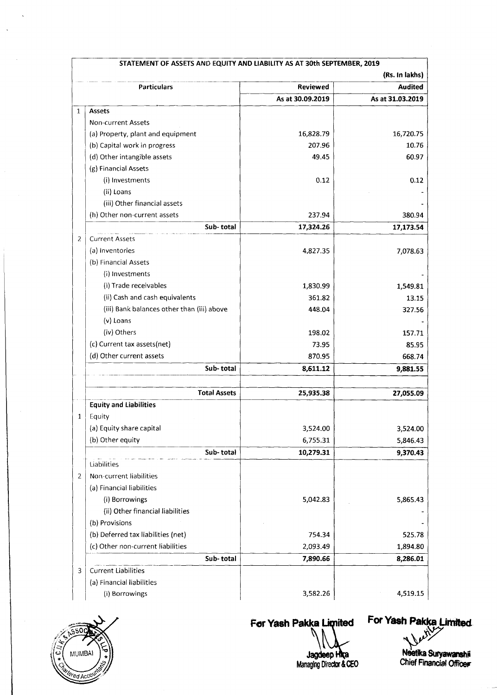|                | STATEMENT OF ASSETS AND EQUITY AND LIABILITY AS AT 30th SEPTEMBER, 2019 |                  |                  |
|----------------|-------------------------------------------------------------------------|------------------|------------------|
|                |                                                                         |                  | (Rs. In lakhs)   |
|                | <b>Particulars</b>                                                      | Reviewed         | <b>Audited</b>   |
|                |                                                                         | As at 30.09.2019 | As at 31.03.2019 |
| $\mathbf{1}$   | <b>Assets</b>                                                           |                  |                  |
|                | <b>Non-current Assets</b>                                               |                  |                  |
|                | (a) Property, plant and equipment                                       | 16,828.79        | 16,720.75        |
|                | (b) Capital work in progress                                            | 207.96           | 10.76            |
|                | (d) Other intangible assets                                             | 49.45            | 60.97            |
|                | (g) Financial Assets                                                    |                  |                  |
|                | (i) Investments                                                         | 0.12             | 0.12             |
|                | (ii) Loans                                                              |                  |                  |
|                | (iii) Other financial assets                                            |                  |                  |
|                | (h) Other non-current assets                                            | 237.94           | 380.94           |
|                | Sub-total                                                               | 17,324.26        | 17,173.54        |
| 2              | <b>Current Assets</b>                                                   |                  |                  |
|                | (a) Inventories                                                         | 4,827.35         | 7,078.63         |
|                | (b) Financial Assets                                                    |                  |                  |
|                | (i) Investments                                                         |                  |                  |
|                | (i) Trade receivables                                                   | 1,830.99         | 1,549.81         |
|                | (ii) Cash and cash equivalents                                          | 361.82           | 13.15            |
|                | (iii) Bank balances other than (iii) above                              | 448.04           | 327.56           |
|                | $(v)$ Loans                                                             |                  |                  |
|                | (iv) Others                                                             | 198.02           | 157.71           |
|                | (c) Current tax assets(net)                                             | 73.95            | 85.95            |
|                | (d) Other current assets                                                | 870.95           | 668.74           |
|                | Sub-total                                                               |                  |                  |
|                |                                                                         | 8,611.12         | 9,881.55         |
|                | <b>Total Assets</b>                                                     | 25,935.38        | 27,055.09        |
|                | <b>Equity and Liabilities</b>                                           |                  |                  |
| 1              | Equity                                                                  |                  |                  |
|                | (a) Equity share capital                                                | 3,524.00         | 3,524.00         |
|                | (b) Other equity                                                        | 6,755.31         | 5,846.43         |
|                | Sub-total                                                               | 10,279.31        | 9,370.43         |
|                | Liabilities                                                             |                  |                  |
| $\overline{2}$ | Non-current liabilities                                                 |                  |                  |
|                | (a) Financial liabilities                                               |                  |                  |
|                | (i) Borrowings                                                          | 5,042.83         | 5,865.43         |
|                | (ii) Other financial liabilities                                        |                  |                  |
|                | (b) Provisions                                                          |                  |                  |
|                | (b) Deferred tax liabilities (net)                                      | 754.34           | 525.78           |
|                | (c) Other non-current liabilities                                       | 2,093.49         | 1,894.80         |
|                | Sub-total                                                               | 7,890.66         | 8,286.01         |
| 3              | <b>Current Liabilities</b>                                              |                  |                  |
|                | (a) Financial liabilities                                               |                  |                  |
|                | (i) Borrowings                                                          | 3,582.26         | 4,519.15         |
|                |                                                                         |                  |                  |



 $\ddot{\phantom{a}}$ 

For Yash Pakka Limited

For Yash Pakka Limited  $\mathcal{V}$ 

JagdeepHka **Managing Director & CEO**

Neetika Suryawanshii **Chief Financial Officer**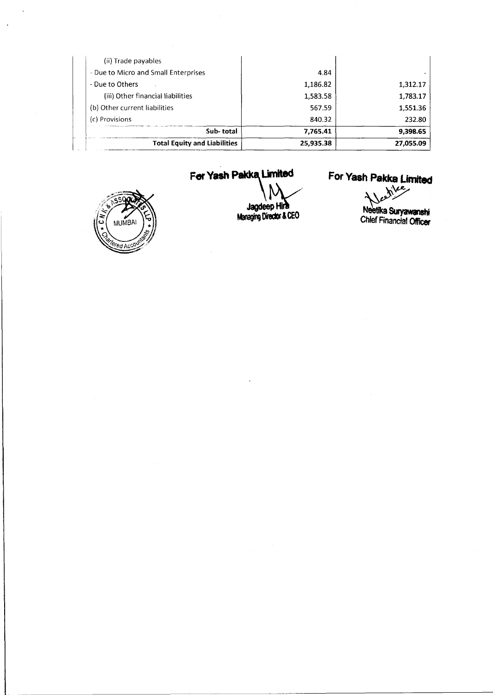| (ii) Trade payables                  |           |           |
|--------------------------------------|-----------|-----------|
| - Due to Micro and Small Enterprises | 4.84      |           |
| - Due to Others                      | 1,186.82  | 1,312.17  |
| (iii) Other financial liabilities    | 1,583.58  | 1,783.17  |
| (b) Other current liabilities        | 567.59    | 1,551.36  |
| (c) Provisions                       | 840.32    | 232.80    |
| Sub-total                            | 7,765.41  | 9.398.65  |
| <b>Total Equity and Liabilities</b>  | 25,935.38 | 27,055.09 |

 $\hat{\boldsymbol{\beta}}$ 



 $\ddot{\phantom{a}}$ 

 $\bar{\mathbf{A}}$ 

# **For YashPakka United**

**\ v** JaodeepHiit JagdeepHin Managing Director & CEO

For Yash Pakka Limited<br> $\sqrt{\frac{\hbar^2}{2}}$ 

 $\lambda$ Neetika Suryawanshi **Chief Financial Officer**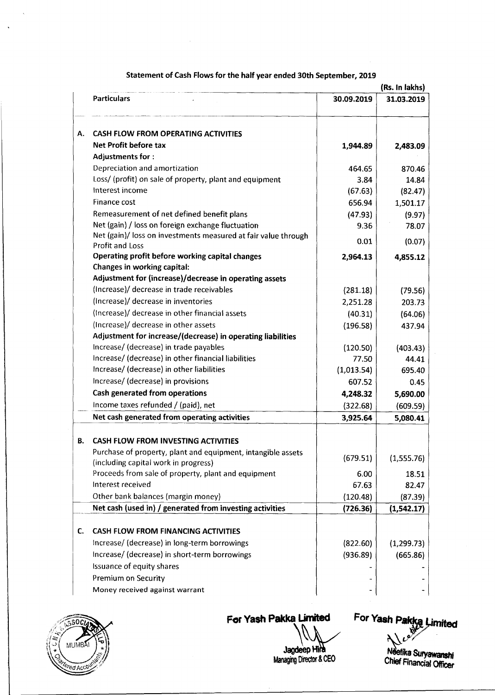|    | (Rs. In lakhs)                                                 |            |             |  |  |
|----|----------------------------------------------------------------|------------|-------------|--|--|
|    | <b>Particulars</b>                                             | 30.09.2019 | 31.03.2019  |  |  |
| А. | <b>CASH FLOW FROM OPERATING ACTIVITIES</b>                     |            |             |  |  |
|    | Net Profit before tax                                          |            |             |  |  |
|    | <b>Adjustments for:</b>                                        | 1,944.89   | 2,483.09    |  |  |
|    | Depreciation and amortization                                  | 464.65     | 870.46      |  |  |
|    | Loss/ (profit) on sale of property, plant and equipment        | 3.84       | 14.84       |  |  |
|    | Interest income                                                | (67.63)    | (82.47)     |  |  |
|    | Finance cost                                                   | 656.94     | 1,501.17    |  |  |
|    | Remeasurement of net defined benefit plans                     | (47.93)    | (9.97)      |  |  |
|    | Net (gain) / loss on foreign exchange fluctuation              | 9.36       | 78.07       |  |  |
|    | Net (gain)/ loss on investments measured at fair value through |            |             |  |  |
|    | Profit and Loss                                                | 0.01       | (0.07)      |  |  |
|    | Operating profit before working capital changes                | 2,964.13   | 4,855.12    |  |  |
|    | Changes in working capital:                                    |            |             |  |  |
|    | Adjustment for (increase)/decrease in operating assets         |            |             |  |  |
|    | (Increase)/ decrease in trade receivables                      | (281.18)   | (79.56)     |  |  |
|    | (Increase)/ decrease in inventories                            | 2,251.28   | 203.73      |  |  |
|    | (Increase)/ decrease in other financial assets                 | (40.31)    | (64.06)     |  |  |
|    | (Increase)/ decrease in other assets                           | (196.58)   | 437.94      |  |  |
|    | Adjustment for increase/(decrease) in operating liabilities    |            |             |  |  |
|    | Increase/ (decrease) in trade payables                         | (120.50)   | (403.43)    |  |  |
|    | Increase/ (decrease) in other financial liabilities            | 77.50      | 44.41       |  |  |
|    | Increase/ (decrease) in other liabilities                      | (1,013.54) | 695.40      |  |  |
|    | Increase/ (decrease) in provisions                             | 607.52     | 0.45        |  |  |
|    | Cash generated from operations                                 | 4,248.32   | 5,690.00    |  |  |
|    | Income taxes refunded / (paid), net                            | (322.68)   | (609.59)    |  |  |
|    | Net cash generated from operating activities                   | 3,925.64   | 5,080.41    |  |  |
| В. | <b>CASH FLOW FROM INVESTING ACTIVITIES</b>                     |            |             |  |  |
|    | Purchase of property, plant and equipment, intangible assets   |            |             |  |  |
|    | (including capital work in progress)                           | (679.51)   | (1,555.76)  |  |  |
|    | Proceeds from sale of property, plant and equipment            | 6.00       | 18.51       |  |  |
|    | Interest received                                              | 67.63      | 82.47       |  |  |
|    | Other bank balances (margin money)                             | (120.48)   | (87.39)     |  |  |
|    |                                                                | (726.36)   | (1, 542.17) |  |  |
|    | <b>CASH FLOW FROM FINANCING ACTIVITIES</b>                     |            |             |  |  |
|    | Increase/ (decrease) in long-term borrowings                   | (822.60)   | (1,299.73)  |  |  |
|    | Increase/ (decrease) in short-term borrowings                  | (936.89)   | (665.86)    |  |  |
|    | Issuance of equity shares                                      |            |             |  |  |
|    | Premium on Security                                            |            |             |  |  |
|    | Money received against warrant                                 |            |             |  |  |
| C. | Net cash (used in) / generated from investing activities       |            |             |  |  |

### **Statem ent of Cash Flows for the half year ended 30th September, 2019**



 $\ddot{\phantom{0}}$ 

For Yash Pakka Limited

For Yash Pakka Limited

Ni **Chief Rnancial Officer**

Jagdeep Hira **Managing Director & CEO**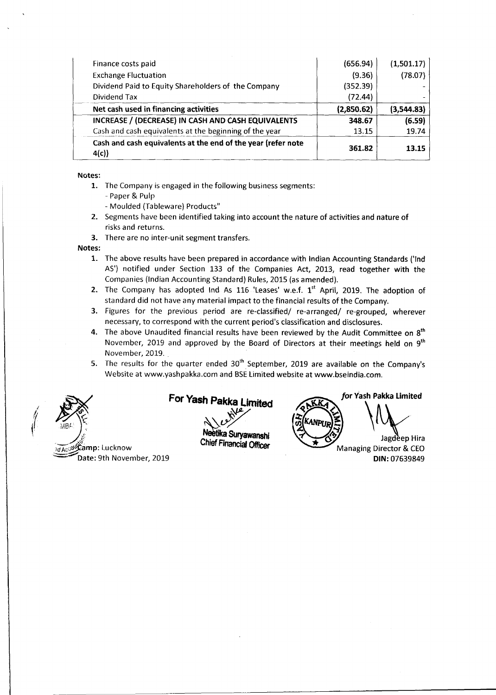| Finance costs paid                                                   | (656.94)   | (1,501.17) |
|----------------------------------------------------------------------|------------|------------|
| <b>Exchange Fluctuation</b>                                          | (9.36)     | (78.07)    |
| Dividend Paid to Equity Shareholders of the Company                  | (352.39)   |            |
| Dividend Tax                                                         | (72.44)    |            |
| Net cash used in financing activities                                | (2,850.62) | (3,544.83) |
| INCREASE / (DECREASE) IN CASH AND CASH EQUIVALENTS                   | 348.67     | (6.59)     |
| Cash and cash equivalents at the beginning of the year               | 13.15      | 19.74      |
| Cash and cash equivalents at the end of the year (refer note<br>4(c) | 361.82     | 13.15      |

#### **Notes:**

- 1. The Company is engaged in the following business segments: - Paper & Pulp
	- Moulded (Tableware) Products"
- 2. Segments have been identified taking into account the nature of activities and nature of risks and returns.
- 3. There are no inter-unit segment transfers.

**Notes:**

- 1. The above results have been prepared in accordance with Indian Accounting Standards ('Ind AS') notified under Section 133 of the Companies Act, 2013, read together with the Companies (Indian Accounting Standard) Rules, 2015 (as amended).
- 2. The Company has adopted Ind As  $116$  Leases' w.e.f.  $1<sup>st</sup>$  April, 2019. The adoption of standard did not have any material impact to the financial results of the Company.
- 3. Figures for the previous period are re-classified/ re-arranged/ re-grouped, wherever necessary, to correspond with the current period's classification and disclosures.
- 4. The above Unaudited financial results have been reviewed by the Audit Committee on  $8<sup>th</sup>$ November, 2019 and approved by the Board of Directors at their meetings held on  $9<sup>th</sup>$ November, 2019.
- 5. The results for the quarter ended  $30<sup>th</sup>$  September, 2019 are available on the Company's Website at www.yashpakka.com and BSE Limited website at www.bseindia.com.



For Yash Pakka Limited

Neetika Suryawanshi Chief Financial Officer

*for* **Yash Pakka Limited** Jagdeep Hira Managing Director & CEO **DIN:** 07639849